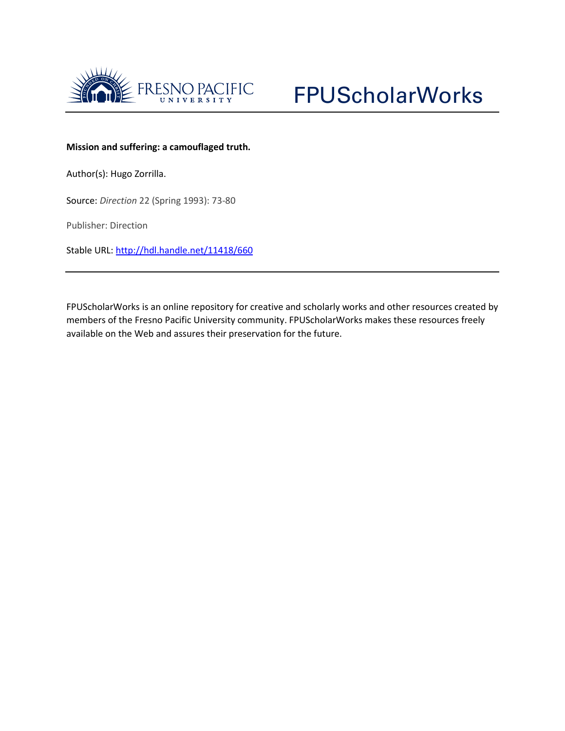



## **Mission and suffering: a camouflaged truth.**

Author(s): Hugo Zorrilla.

Source: *Direction* 22 (Spring 1993): 73-80

Publisher: Direction

Stable URL:<http://hdl.handle.net/11418/660>

FPUScholarWorks is an online repository for creative and scholarly works and other resources created by members of the Fresno Pacific University community. FPUScholarWorks makes these resources freely available on the Web and assures their preservation for the future.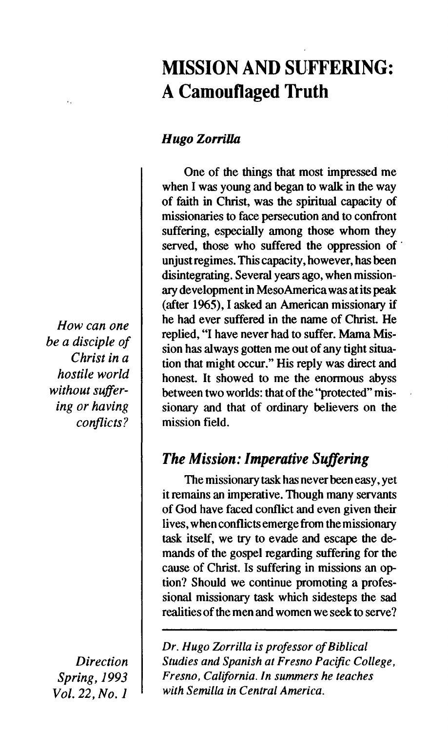# **MISSION AND SUFFERING: A Camouflaged Truth**

## *Hugo Zorrilla*

**One of the things that most impressed me when I was young and began to walk in the way of faith in Christ, was the spiritual capacity of missionaries to face persecution and to confront suffering, especially among those whom they served, those who suffered the oppression of unjust regimes. This capacity, however, has been disintegrating. Several years ago, when missionary development in MesoAmerica was at its peak (after 1965), I asked an American missionary if he had ever suffered in the name of Christ. He replied, "I have never had to suffer. Mama Mission has always gotten me out of any tight situation that might occur." His reply was direct and honest. It showed to me the enormous abyss between two worlds: that of the "protected" missionary and that of ordinary believers on the mission field.** 

# *The Mission: Imperative Suffering*

**The missionary task has never been easy, yet it remains an imperative. Though many servants of God have faced conflict and even given their lives, when conflicts emerge from the missionary task itself, we try to evade and escape the demands of the gospel regarding suffering for the cause of Christ. Is suffering in missions an option? Should we continue promoting a professional missionary task which sidesteps the sad realities of the men and women we seek to serve?** 

*Dr. Hugo Zorrilla is professor of Biblical Studies and Spanish at Fresno Pacific College, Fresno, California. In summers he teaches with Semilla in Central America.* 

*How can one be a disciple of Christ in a hostile world without suffering or having conflicts?* 

*Direction Spring, 1993*  Vol. 22, No. 1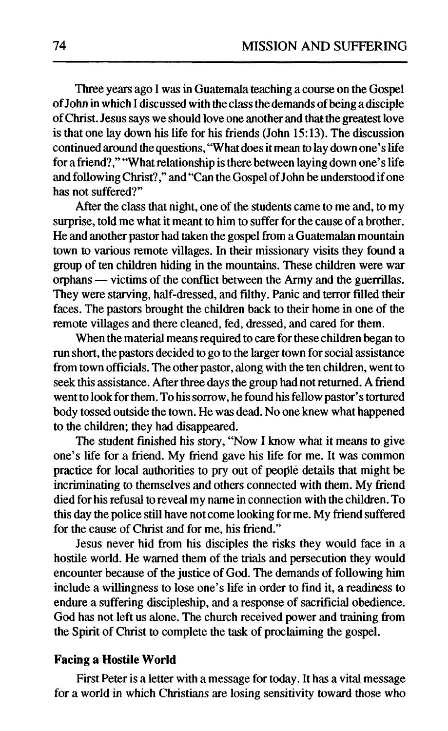Three years ago I was in Guatemala teaching a course on the Gospel of John in which I discussed with the class the demands of being a disciple of Christ. Jesus says we should love one another and that the greatest love is that one lay down his life for his friends (John 15:13). The discussion continued around the questions, "What does it mean to lay down one's life for a friend?," "What relationship is there between laying down one's life and following Christ?," and "Can the Gospel of John be understood if one has not suffered?"

After the class that night, one of the students came to me and, to my surprise, told me what it meant to him to suffer for the cause of a brother. He and another pastor had taken the gospel from a Guatemalan mountain town to various remote villages. In their missionary visits they found a group of ten children hiding in the mountains. These children were war orphans — victims of the conflict between the Army and the guerrillas. They were starving, half-dressed, and filthy. Panic and terror filled their faces. The pastors brought the children back to their home in one of the remote villages and there cleaned, fed, dressed, and cared for them.

When the material means required to care for these children began to run short, the pastors decided to go to the larger town for social assistance from town officials. The other pastor, along with the ten children, went to seek this assistance. After three days the group had not returned. A friend went to look for them. To his sorrow, he found his fellow pastor's tortured body tossed outside the town. He was dead. No one knew what happened to the children; they had disappeared.

The student finished his story, "Now I know what it means to give one's life for a friend. My friend gave his life for me. It was common practice for local authorities to pry out of people details that might be incriminating to themselves and others connected with them. My friend died for his refusal to reveal my name in connection with the children. To this day the police still have not come looking for me. My friend suffered for the cause of Christ and for me, his friend."

Jesus never hid from his disciples the risks they would face in a hostile world. He warned them of the trials and persecution they would encounter because of the justice of God. The demands of following him include a willingness to lose one's life in order to find it, a readiness to endure a suffering discipleship, and a response of sacrificial obedience. God has not left us alone. The church received power and training from the Spirit of Christ to complete the task of proclaiming the gospel.

### **Facing a Hostile World**

First Peter is a letter with a message for today. It has a vital message for a world in which Christians are losing sensitivity toward those who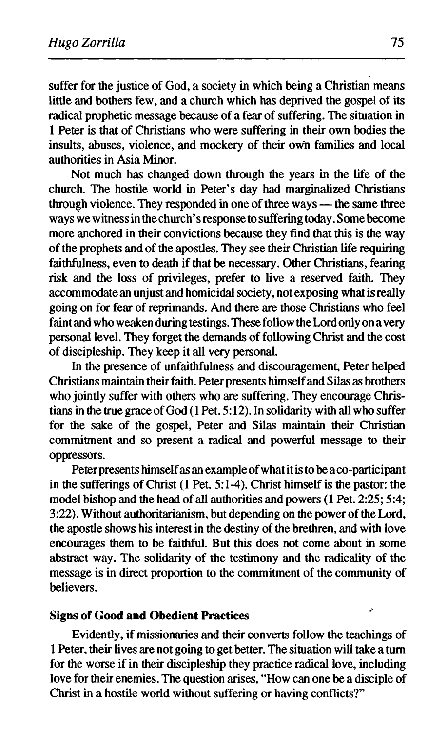suffer for the justice of God, a society in which being a Christian means little and bothers few, and a church which has deprived the gospel of its radical prophetic message because of a fear of suffering. The situation in 1 Peter is that of Christians who were suffering in their own bodies the insults, abuses, violence, and mockery of their own families and local authorities in Asia Minor.

Not much has changed down through the years in the life of the church. The hostile world in Peter's day had marginalized Christians through violence. They responded in one of three ways — the same three ways we witness in the church'sresponse to suffering today. Some become more anchored in their convictions because they find that this is the way of the prophets and of the apostles. They see their Christian life requiring faithfulness, even to death if that be necessary. Other Christians, fearing risk and the loss of privileges, prefer to live a reserved faith. They accommodate an unjust and homicidal society, not exposing what is really going on for fear of reprimands. And there are those Christians who feel faint and who weaken during testings. These follow the Lord only on a very personal level. They forget the demands of following Christ and the cost of discipleship. They keep it all very personal.

In the presence of unfaithfulness and discouragement, Peter helped Christians maintain their faith. Peter presents himself and Silas as brothers who jointly suffer with others who are suffering. They encourage Christians in the true grace of God (1 Pet. 5:12). In solidarity with all who suffer for the sake of the gospel, Peter and Silas maintain their Christian commitment and so present a radical and powerful message to their oppressors.

Peter presents himself as an example of what it is to be a co-participant in the sufferings of Christ (1 Pet. 5:1-4). Christ himself is the pastor: the model bishop and the head of all authorities and powers (1 Pet. 2:25; 5:4; 3:22). Without authoritarianism, but depending on the power of the Lord, the apostle shows his interest in the destiny of the brethren, and with love encourages them to be faithful. But this does not come about in some abstract way. The solidarity of the testimony and the radicality of the message is in direct proportion to the commitment of the community of believers.

### **Signs of Good and Obedient Practices**

Evidently, if missionaries and their converts follow the teachings of 1 Peter, their lives are not going to get better. The situation will take a turn for the worse if in their discipleship they practice radical love, including love for their enemies. The question arises, "How can one be a disciple of Christ in a hostile world without suffering or having conflicts?"

ŕ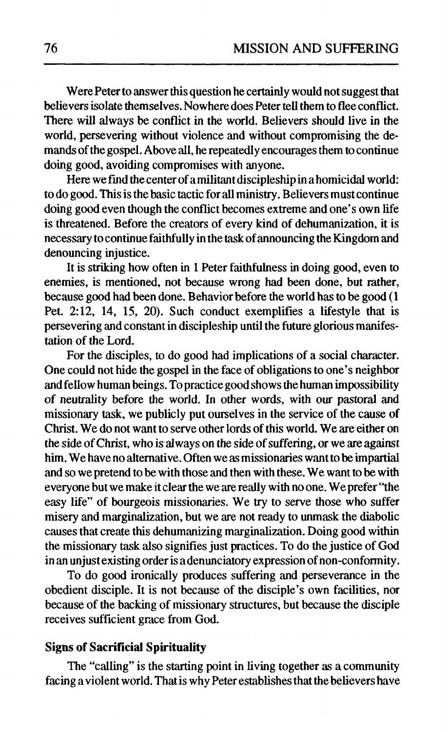Were Peter to answer this question he certainly would not suggest that believers isolate themselves. Nowhere does Peter tell them to flee conflict. There will always be conflict in the world. Believers should live in the world, persevering without violence and without compromising the demands of the gospel. Above all, he repeatedly encourages them to continue doing good, avoiding compromises with anyone.

Here we find the center of a militant discipleship in a homicidal world: to do good. This is the basic tactic for all ministry. Believers must continue doing good even though the conflict becomes extreme and one's own life is threatened. Before the creators of every kind of dehumanization, it is necessary to continue faithfully in the task of announcing the Kingdom and denouncing injustice.

It is striking how often in 1 Peter faithfulness in doing good, even to enemies, is mentioned, not because wrong had been done, but rather, because good had been done. Behavior before the world has to be good (1 Pet. 2:12, 14, 15, 20). Such conduct exemplifies a lifestyle that is persevering and Constantin discipleship until the future glorious manifestation of the Lord.

For the disciples, to do good had implications of a social character. One could not hide the gospel in the face of obligations to one's neighbor and fellow human beings. To practice good shows the human impossibility of neutrality before the world. In other words, with our pastoral and missionary task, we publicly put ourselves in the service of the cause of Christ. We do not want to serve other lords of this world. We are either on the side of Christ, who is always on the side of suffering, or we are against him. We have no alternative. Often we as missionaries want to be impartial and so we pretend to be with those and then with these. We want to be with everyone but we make it clear the we are really with no one. We prefer "the easy life" of bourgeois missionaries. We try to serve those who suffer misery and marginalization, but we are not ready to unmask the diabolic causes that create this dehumanizing marginalization. Doing good within the missionary task also signifies just practices. To do the justice of God in an unjust existing order is a denunciatory expression of non-conformity.

To do good ironically produces suffering and perseverance in the obedient disciple. It is not because of the disciple's own facilities, nor because of the backing of missionary structures, but because the disciple receives sufficient grace from God.

## **Signs of Sacrificial Spirituality**

The "calling" is the starting point in living together as a community facing a violent world. That is why Peter establishes that the believers have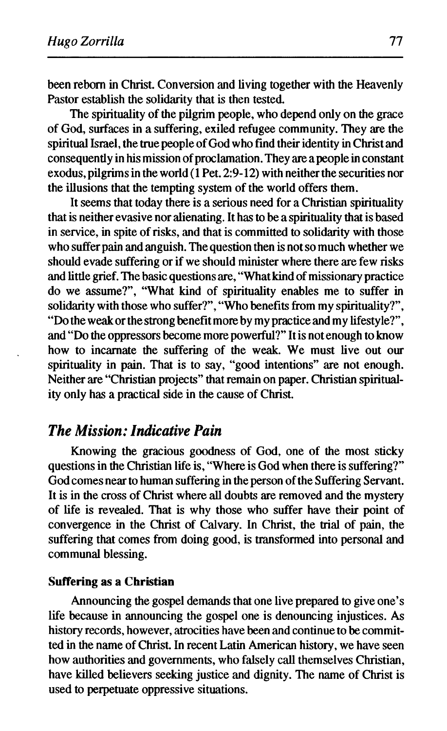been reborn in Christ. Conversion and living together with the Heavenly Pastor establish the solidarity that is then tested.

The spirituality of the pilgrim people, who depend only on the grace of God, surfaces in a suffering, exiled refugee community. They are the spiritual Israel, the true people of God who find their identity in Christ and consequently in his mission of proclamation. They are a people in constant exodus, pilgrims in the world (1 Pet. 2:9-12) with neither the securities nor the illusions that the tempting system of the world offers them.

It seems that today there is a serious need for a Christian spirituality that is neither evasive nor alienating. It has to be a spirituality that is based in service, in spite of risks, and that is committed to solidarity with those who suffer pain and anguish. The question then is not so much whether we should evade suffering or if we should minister where there are few risks and little grief. The basic questions are, "What kind of missionary practice do we assume?", "What kind of spirituality enables me to suffer in solidarity with those who suffer?", "Who benefits from my spirituality?", "Do the weak or the strong benefit more by my practice and my lifestyle?", and "Do the oppressors become more powerful?" It is not enough to know how to incarnate the suffering of the weak. We must live out our spirituality in pain. That is to say, "good intentions" are not enough. Neither are "Christian projects" that remain on paper. Christian spirituality only has a practical side in the cause of Christ.

# *The Mission: Indicative Pain*

Knowing the gracious goodness of God, one of the most sticky questions in the Christian life is, "Where is God when there is suffering?" God comes near to human suffering in the person of the Suffering Servant. It is in the cross of Christ where all doubts are removed and the mystery of life is revealed. That is why those who suffer have their point of convergence in the Christ of Calvary. In Christ, the trial of pain, the suffering that comes from doing good, is transformed into personal and communal blessing.

#### **Suffering as a Christian**

Announcing the gospel demands that one live prepared to give one's life because in announcing the gospel one is denouncing injustices. As history records, however, atrocities have been and continue to be committed in the name of Christ. In recent Latin American history, we have seen how authorities and governments, who falsely call themselves Christian, have killed believers seeking justice and dignity. The name of Christ is used to perpetuate oppressive situations.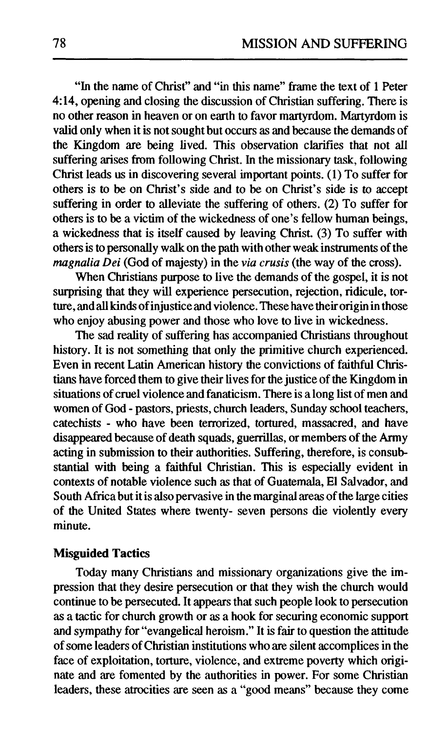"In the name of Christ" and "in this name" frame the text of 1 Peter 4:14, opening and closing the discussion of Christian suffering. There is no other reason in heaven or on earth to favor martyrdom. Martyrdom is valid only when it is not sought but occurs as and because the demands of the Kingdom are being lived. This observation clarifies that not all suffering arises from following Christ. In the missionary task, following Christ leads us in discovering several important points. (1) To suffer for others is to be on Christ's side and to be on Christ's side is to accept suffering in order to alleviate the suffering of others. (2) To suffer for others is to be a victim of the wickedness of one's fellow human beings, a wickedness that is itself caused by leaving Christ. (3) To suffer with others is to personally walk on the path with other weak instruments of the *magnalia Dei* (God of majesty) in the *via crusis* (the way of the cross).

When Christians purpose to live the demands of the gospel, it is not surprising that they will experience persecution, rejection, ridicule, torture, and all kinds of injustice and violence. These have their origin in those who enjoy abusing power and those who love to live in wickedness.

The sad reality of suffering has accompanied Christians throughout history. It is not something that only the primitive church experienced. Even in recent Latin American history the convictions of faithful Christians have forced them to give their lives for the justice of the Kingdom in situations of cruel violence and fanaticism. There is a long list of men and women of God - pastors, priests, church leaders, Sunday school teachers, catechists - who have been terrorized, tortured, massacred, and have disappeared because of death squads, guerrillas, or members of the Army acting in submission to their authorities. Suffering, therefore, is consubstantial with being a faithful Christian. This is especially evident in contexts of notable violence such as that of Guatemala, El Salvador, and South Africa but it is also pervasive in the marginal areas of the large cities of the United States where twenty- seven persons die violently every minute.

## **Misguided Tactics**

Today many Christians and missionary organizations give the impression that they desire persecution or that they wish the church would continue to be persecuted. It appears that such people look to persecution as a tactic for church growth or as a hook for securing economic support and sympathy for "evangelical heroism." It is fair to question the attitude of some leaders of Christian institutions who are silent accomplices in the face of exploitation, torture, violence, and extreme poverty which originate and are fomented by the authorities in power. For some Christian leaders, these atrocities are seen as a "good means" because they come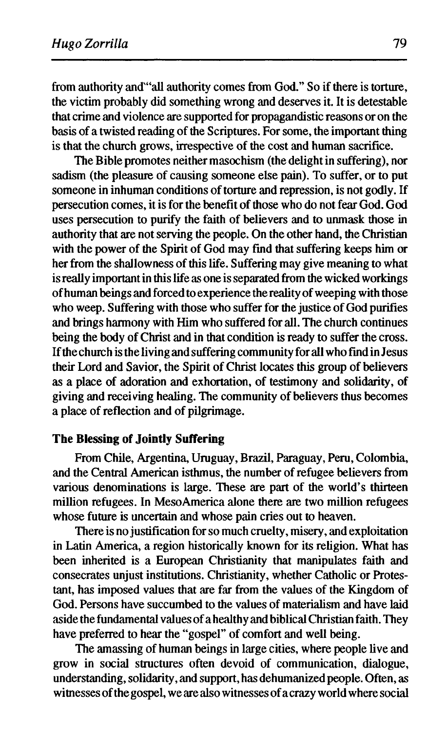from authority and"all authority comes from God." So if there is torture, the victim probably did something wrong and deserves it. It is detestable that crime and violence are supported for propagandistic reasons or on the basis of a twisted reading of the Scriptures. For some, the important thing is that the church grows, irrespective of the cost and human sacrifice.

The Bible promotes neither masochism (the delight in suffering), nor sadism (the pleasure of causing someone else pain). To suffer, or to put someone in inhuman conditions of torture and repression, is not godly. If persecution comes, it is for the benefit of those who do not fear God. God uses persecution to purify the faith of believers and to unmask those in authority that are not serving the people. On the other hand, the Christian with the power of the Spirit of God may find that suffering keeps him or her from the shallowness of this life. Suffering may give meaning to what is really important in this life as one is separated from the wicked workings of human beings and forced to experience the reality of weeping with those who weep. Suffering with those who suffer for the justice of God purifies and brings harmony with Him who suffered for all. The church continues being the body of Christ and in that condition is ready to suffer the cross. If the church is the living and suffering community for all who find in Jesus their Lord and Savior, the Spirit of Christ locates this group of believers as a place of adoration and exhortation, of testimony and solidarity, of giving and receiving healing. The community of believers thus becomes a place of reflection and of pilgrimage.

## **The Blessing of Jointly Suffering**

From Chile, Argentina, Uruguay, Brazil, Paraguay, Peru, Colombia, and the Central American isthmus, the number of refugee believers from various denominations is large. These are part of the world's thirteen million refugees. In MesoAmerica alone there are two million refugees whose future is uncertain and whose pain cries out to heaven.

There is no justification for so much cruelty, misery, and exploitation in Latin America, a region historically known for its religion. What has been inherited is a European Christianity that manipulates faith and consecrates unjust institutions. Christianity, whether Catholic or Protestant, has imposed values that are far from the values of the Kingdom of God. Persons have succumbed to the values of materialism and have laid aside the fundamental values of a healthy and biblical Christian faith. They have preferred to hear the "gospel" of comfort and well being.

The amassing of human beings in large cities, where people live and grow in social structures often devoid of communication, dialogue, understanding, solidarity, and support, has dehumanized people. Often, as witnesses of the gospel, we are also witnesses of a crazy world where social